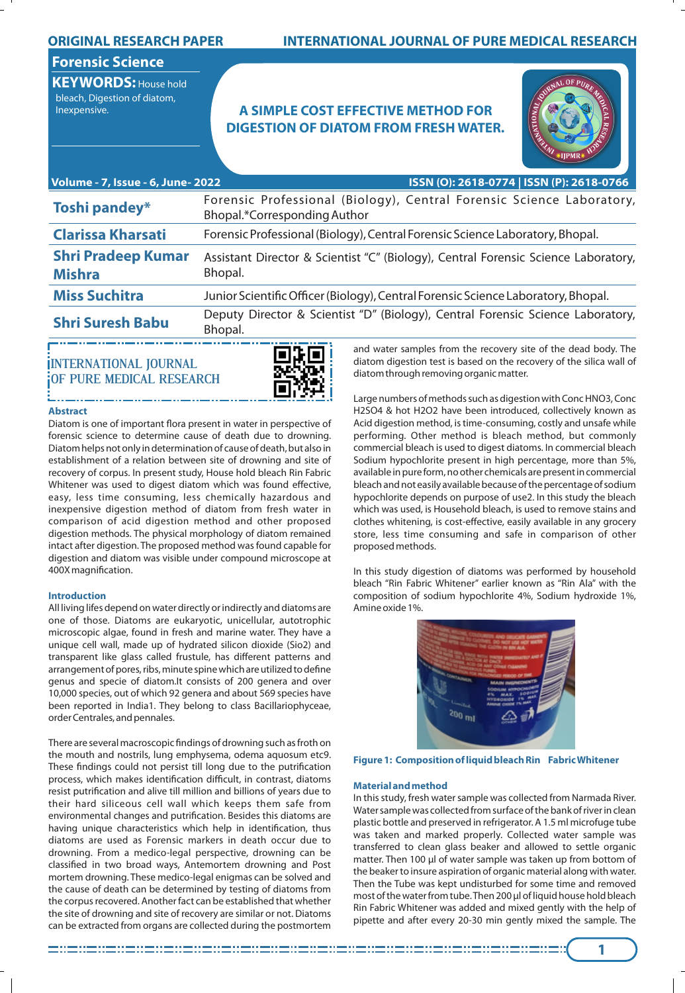### **ORIGINAL RESEARCH PAPER**

# **INTERNATIONAL JOURNAL OF PURE MEDICAL RESEARCH**

# **Forensic Science**

**KEYWORDS:** House hold bleach, Digestion of diatom,

# Inexpensive. **A SIMPLE COST EFFECTIVE METHOD FOR DIGESTION OF DIATOM FROM FRESH WATER.**



| Volume - 7, Issue - 6, June- 2022          | ISSN (O): 2618-0774   ISSN (P): 2618-0766                                                             |
|--------------------------------------------|-------------------------------------------------------------------------------------------------------|
| Toshi pandey*                              | Forensic Professional (Biology), Central Forensic Science Laboratory,<br>Bhopal.*Corresponding Author |
| <b>Clarissa Kharsati</b>                   | Forensic Professional (Biology), Central Forensic Science Laboratory, Bhopal.                         |
| <b>Shri Pradeep Kumar</b><br><b>Mishra</b> | Assistant Director & Scientist "C" (Biology), Central Forensic Science Laboratory,<br>Bhopal.         |
| <b>Miss Suchitra</b>                       | Junior Scientific Officer (Biology), Central Forensic Science Laboratory, Bhopal.                     |
| <b>Shri Suresh Babu</b>                    | Deputy Director & Scientist "D" (Biology), Central Forensic Science Laboratory,<br>Bhopal.            |

## **INTERNATIONAL JOURNAL OF PURE MEDICAL RESEARCH**



### **Abstract**

Diatom is one of important flora present in water in perspective of forensic science to determine cause of death due to drowning. Diatom helps not only in determination of cause of death, but also in establishment of a relation between site of drowning and site of recovery of corpus. In present study, House hold bleach Rin Fabric Whitener was used to digest diatom which was found effective, easy, less time consuming, less chemically hazardous and inexpensive digestion method of diatom from fresh water in comparison of acid digestion method and other proposed digestion methods. The physical morphology of diatom remained intact after digestion. The proposed method was found capable for digestion and diatom was visible under compound microscope at 400X magnification.

### **Introduction**

All living lifes depend on water directly or indirectly and diatoms are one of those. Diatoms are eukaryotic, unicellular, autotrophic microscopic algae, found in fresh and marine water. They have a unique cell wall, made up of hydrated silicon dioxide (Sio2) and transparent like glass called frustule, has different patterns and arrangement of pores, ribs, minute spine which are utilized to define genus and specie of diatom.It consists of 200 genera and over 10,000 species, out of which 92 genera and about 569 species have been reported in India1. They belong to class Bacillariophyceae, order Centrales, and pennales.

There are several macroscopic findings of drowning such as froth on the mouth and nostrils, lung emphysema, odema aquosum etc9. These findings could not persist till long due to the putrification process, which makes identification difficult, in contrast, diatoms resist putrification and alive till million and billions of years due to their hard siliceous cell wall which keeps them safe from environmental changes and putrification. Besides this diatoms are having unique characteristics which help in identification, thus diatoms are used as Forensic markers in death occur due to drowning. From a medico-legal perspective, drowning can be classified in two broad ways, Antemortem drowning and Post mortem drowning. These medico-legal enigmas can be solved and the cause of death can be determined by testing of diatoms from the corpus recovered. Another fact can be established that whether the site of drowning and site of recovery are similar or not. Diatoms can be extracted from organs are collected during the postmortem

and water samples from the recovery site of the dead body. The diatom digestion test is based on the recovery of the silica wall of diatom through removing organic matter.

Large numbers of methods such as digestion with Conc HNO3, Conc H2SO4 & hot H2O2 have been introduced, collectively known as Acid digestion method, is time-consuming, costly and unsafe while performing. Other method is bleach method, but commonly commercial bleach is used to digest diatoms. In commercial bleach Sodium hypochlorite present in high percentage, more than 5%, available in pure form, no other chemicals are present in commercial bleach and not easily available because of the percentage of sodium hypochlorite depends on purpose of use2. In this study the bleach which was used, is Household bleach, is used to remove stains and clothes whitening, is cost-effective, easily available in any grocery store, less time consuming and safe in comparison of other proposed methods.

In this study digestion of diatoms was performed by household bleach "Rin Fabric Whitener" earlier known as "Rin Ala" with the composition of sodium hypochlorite 4%, Sodium hydroxide 1%, Amine oxide 1%.



#### **Figure 1: Composition of liquid bleach Rin Fabric Whitener**

### **Material and method**

In this study, fresh water sample was collected from Narmada River. Water sample was collected from surface of the bank of river in clean plastic bottle and preserved in refrigerator. A 1.5 ml microfuge tube was taken and marked properly. Collected water sample was transferred to clean glass beaker and allowed to settle organic matter. Then 100 µl of water sample was taken up from bottom of the beaker to insure aspiration of organic material along with water. Then the Tube was kept undisturbed for some time and removed most of the water from tube. Then 200 µl of liquid house hold bleach Rin Fabric Whitener was added and mixed gently with the help of pipette and after every 20-30 min gently mixed the sample. The